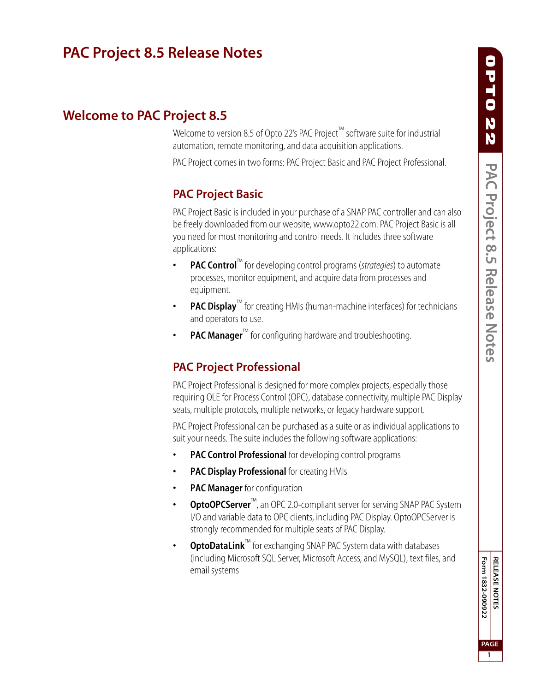# **Welcome to PAC Project 8.5**

Welcome to version 8.5 of Opto 22's PAC Project™ software suite for industrial automation, remote monitoring, and data acquisition applications.

PAC Project comes in two forms: PAC Project Basic and PAC Project Professional.

# **PAC Project Basic**

PAC Project Basic is included in your purchase of a SNAP PAC controller and can also be freely downloaded from our website, www.opto22.com. PAC Project Basic is all you need for most monitoring and control needs. It includes three software applications:

- **PAC Control**™ for developing control programs (*strategies*) to automate processes, monitor equipment, and acquire data from processes and equipment.
- **PAC Display™** for creating HMIs (human-machine interfaces) for technicians and operators to use.
- **PAC Manager™** for configuring hardware and troubleshooting.

# **PAC Project Professional**

PAC Project Professional is designed for more complex projects, especially those requiring OLE for Process Control (OPC), database connectivity, multiple PAC Display seats, multiple protocols, multiple networks, or legacy hardware support.

PAC Project Professional can be purchased as a suite or as individual applications to suit your needs. The suite includes the following software applications:

- **PAC Control Professional** for developing control programs
- **PAC Display Professional** for creating HMIs
- **PAC Manager** for configuration
- **OptoOPCServer**™, an OPC 2.0-compliant server for serving SNAP PAC System I/O and variable data to OPC clients, including PAC Display. OptoOPCServer is strongly recommended for multiple seats of PAC Display.
- **OptoDataLink**™ for exchanging SNAP PAC System data with databases (including Microsoft SQL Server, Microsoft Access, and MySQL), text files, and email systems

Form 1832-090922 **RELEASE NOTES Form 1832-090922 PAGE 1**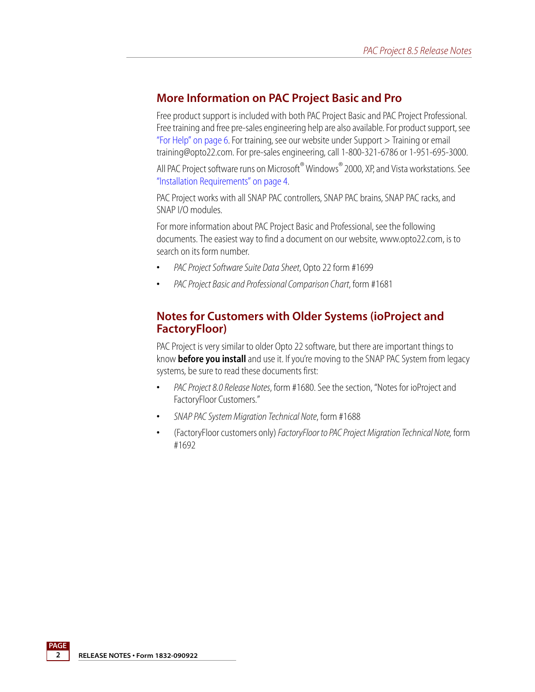#### **More Information on PAC Project Basic and Pro**

Free product support is included with both PAC Project Basic and PAC Project Professional. Free training and free pre-sales engineering help are also available. For product support, see ["For Help" on page 6](#page-5-0). For training, see our website under Support > Training or email training@opto22.com. For pre-sales engineering, call 1-800-321-6786 or 1-951-695-3000.

All PAC Project software runs on Microsoft® Windows® 2000, XP, and Vista workstations. See ["Installation Requirements" on page 4](#page-3-0).

PAC Project works with all SNAP PAC controllers, SNAP PAC brains, SNAP PAC racks, and SNAP I/O modules.

For more information about PAC Project Basic and Professional, see the following documents. The easiest way to find a document on our website, www.opto22.com, is to search on its form number.

- **•** *PAC Project Software Suite Data Sheet*, Opto 22 form #1699
- **•** *PAC Project Basic and Professional Comparison Chart*, form #1681

#### **Notes for Customers with Older Systems (ioProject and FactoryFloor)**

PAC Project is very similar to older Opto 22 software, but there are important things to know **before you install** and use it. If you're moving to the SNAP PAC System from legacy systems, be sure to read these documents first:

- **•** *PAC Project 8.0 Release Notes*, form #1680. See the section, "Notes for ioProject and FactoryFloor Customers."
- **•** *SNAP PAC System Migration Technical Note*, form #1688
- **•** (FactoryFloor customers only) *FactoryFloor to PAC Project Migration Technical Note,* form #1692

**2 RELEASE NOTES • Form 1832-090922**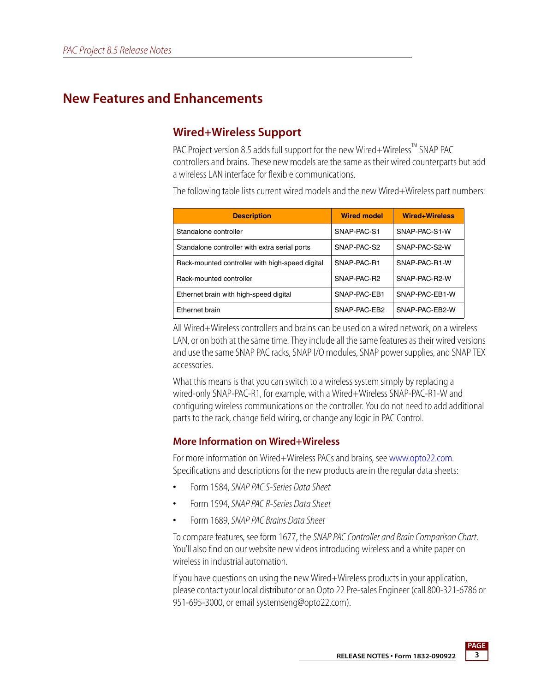# **New Features and Enhancements**

### **Wired+Wireless Support**

PAC Project version 8.5 adds full support for the new Wired+Wireless<sup>™</sup> SNAP PAC controllers and brains. These new models are the same as their wired counterparts but add a wireless LAN interface for flexible communications.

The following table lists current wired models and the new Wired+Wireless part numbers:

| <b>Description</b>                              | <b>Wired model</b> | Wired+Wireless |
|-------------------------------------------------|--------------------|----------------|
| Standalone controller                           | SNAP-PAC-S1        | SNAP-PAC-S1-W  |
| Standalone controller with extra serial ports   | SNAP-PAC-S2        | SNAP-PAC-S2-W  |
| Rack-mounted controller with high-speed digital | SNAP-PAC-R1        | SNAP-PAC-R1-W  |
| Rack-mounted controller                         | SNAP-PAC-R2        | SNAP-PAC-R2-W  |
| Ethernet brain with high-speed digital          | SNAP-PAC-EB1       | SNAP-PAC-EB1-W |
| Ethernet brain                                  | SNAP-PAC-EB2       | SNAP-PAC-EB2-W |

All Wired+Wireless controllers and brains can be used on a wired network, on a wireless LAN, or on both at the same time. They include all the same features as their wired versions and use the same SNAP PAC racks, SNAP I/O modules, SNAP power supplies, and SNAP TEX accessories.

What this means is that you can switch to a wireless system simply by replacing a wired-only SNAP-PAC-R1, for example, with a Wired+Wireless SNAP-PAC-R1-W and configuring wireless communications on the controller. You do not need to add additional parts to the rack, change field wiring, or change any logic in PAC Control.

#### **More Information on Wired+Wireless**

For more information on Wired+Wireless PACs and brains, see [www.opto22.com.](http://www.opto22.com) Specifications and descriptions for the new products are in the regular data sheets:

- **•** Form 1584, *SNAP PAC S-Series Data Sheet*
- **•** Form 1594, *SNAP PAC R-Series Data Sheet*
- **•** Form 1689, *SNAP PAC Brains Data Sheet*

To compare features, see form 1677, the *SNAP PAC Controller and Brain Comparison Chart*. You'll also find on our website new videos introducing wireless and a white paper on wireless in industrial automation.

If you have questions on using the new Wired+Wireless products in your application, please contact your local distributor or an Opto 22 Pre-sales Engineer (call 800-321-6786 or 951-695-3000, or email systemseng@opto22.com).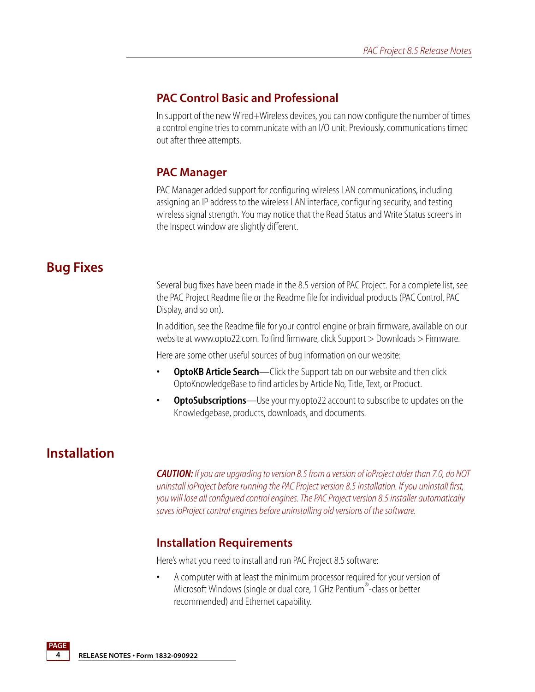### **PAC Control Basic and Professional**

In support of the new Wired+Wireless devices, you can now configure the number of times a control engine tries to communicate with an I/O unit. Previously, communications timed out after three attempts.

### **PAC Manager**

PAC Manager added support for configuring wireless LAN communications, including assigning an IP address to the wireless LAN interface, configuring security, and testing wireless signal strength. You may notice that the Read Status and Write Status screens in the Inspect window are slightly different.

# **Bug Fixes**

Several bug fixes have been made in the 8.5 version of PAC Project. For a complete list, see the PAC Project Readme file or the Readme file for individual products (PAC Control, PAC Display, and so on).

In addition, see the Readme file for your control engine or brain firmware, available on our website at www.opto22.com. To find firmware, click Support > Downloads > Firmware.

Here are some other useful sources of bug information on our website:

- **OptoKB Article Search**—Click the Support tab on our website and then click OptoKnowledgeBase to find articles by Article No, Title, Text, or Product.
- **OptoSubscriptions**—Use your my.opto22 account to subscribe to updates on the Knowledgebase, products, downloads, and documents.

# **Installation**

**PAGE**

*CAUTION: If you are upgrading to version 8.5 from a version of ioProject older than 7.0, do NOT uninstall ioProject before running the PAC Project version 8.5 installation. If you uninstall first, you will lose all configured control engines. The PAC Project version 8.5 installer automatically saves ioProject control engines before uninstalling old versions of the software.* 

### <span id="page-3-0"></span>**Installation Requirements**

Here's what you need to install and run PAC Project 8.5 software:

**•** A computer with at least the minimum processor required for your version of Microsoft Windows (single or dual core, 1 GHz Pentium®-class or better recommended) and Ethernet capability.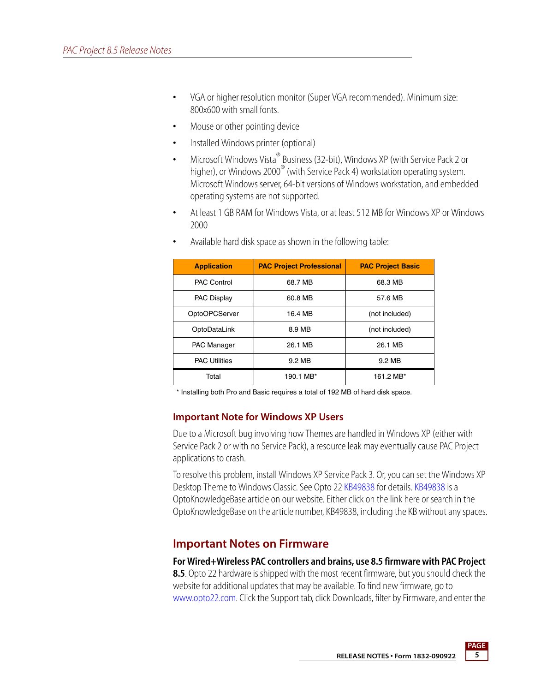- **•** VGA or higher resolution monitor (Super VGA recommended). Minimum size: 800x600 with small fonts.
- **•** Mouse or other pointing device
- **•** Installed Windows printer (optional)
- **•** Microsoft Windows Vista® Business (32-bit), Windows XP (with Service Pack 2 or higher), or Windows 2000<sup>®</sup> (with Service Pack 4) workstation operating system. Microsoft Windows server, 64-bit versions of Windows workstation, and embedded operating systems are not supported.
- **•** At least 1 GB RAM for Windows Vista, or at least 512 MB for Windows XP or Windows 2000

| <b>Application</b>   | <b>PAC Project Professional</b> | <b>PAC Project Basic</b> |
|----------------------|---------------------------------|--------------------------|
| <b>PAC Control</b>   | 68.7 MB                         | 68.3 MB                  |
| <b>PAC Display</b>   | 60.8 MB                         | 57.6 MB                  |
| OptoOPCServer        | 16.4 MB                         | (not included)           |
| OptoDataLink         | 8.9 MB                          | (not included)           |
| <b>PAC Manager</b>   | 26.1 MB                         | 26.1 MB                  |
| <b>PAC Utilities</b> | 9.2 MB                          | 9.2 MB                   |
| Total                | 190.1 MB*                       | 161.2 MB*                |

**•** Available hard disk space as shown in the following table:

\* Installing both Pro and Basic requires a total of 192 MB of hard disk space.

#### **Important Note for Windows XP Users**

Due to a Microsoft bug involving how Themes are handled in Windows XP (either with Service Pack 2 or with no Service Pack), a resource leak may eventually cause PAC Project applications to crash.

To resolve this problem, install Windows XP Service Pack 3. Or, you can set the Windows XP Desktop Theme to Windows Classic. See Opto 22 [KB49838](http://www.opto22.com/site/documents/viewarticle.aspx?aid=1107) for details. [KB49838](http://www.opto22.com/site/documents/viewarticle.aspx?aid=1107) is a OptoKnowledgeBase article on our website. Either click on the link here or search in the OptoKnowledgeBase on the article number, KB49838, including the KB without any spaces.

### **Important Notes on Firmware**

**For Wired+Wireless PAC controllers and brains, use 8.5 firmware with PAC Project 8.5**. Opto 22 hardware is shipped with the most recent firmware, but you should check the website for additional updates that may be available. To find new firmware, go to [www.opto22.com](http://www.opto22.com). Click the Support tab, click Downloads, filter by Firmware, and enter the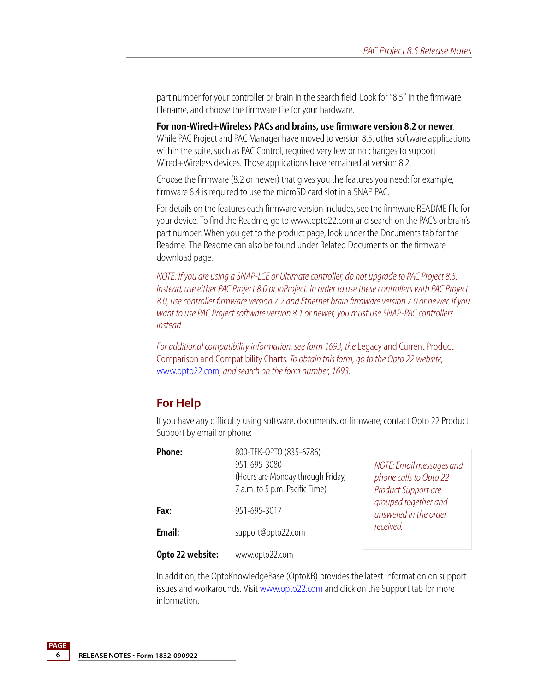part number for your controller or brain in the search field. Look for "8.5" in the firmware filename, and choose the firmware file for your hardware.

**For non-Wired+Wireless PACs and brains, use firmware version 8.2 or newer**. While PAC Project and PAC Manager have moved to version 8.5, other software applications within the suite, such as PAC Control, required very few or no changes to support Wired+Wireless devices. Those applications have remained at version 8.2.

Choose the firmware (8.2 or newer) that gives you the features you need: for example, firmware 8.4 is required to use the microSD card slot in a SNAP PAC.

For details on the features each firmware version includes, see the firmware README file for your device. To find the Readme, go to www.opto22.com and search on the PAC's or brain's part number. When you get to the product page, look under the Documents tab for the Readme. The Readme can also be found under Related Documents on the firmware download page.

*NOTE: If you are using a SNAP-LCE or Ultimate controller, do not upgrade to PAC Project 8.5. Instead, use either PAC Project 8.0 or ioProject. In order to use these controllers with PAC Project 8.0, use controller firmware version 7.2 and Ethernet brain firmware version 7.0 or newer. If you want to use PAC Project software version 8.1 or newer, you must use SNAP-PAC controllers instead.*

*For additional compatibility information, see form 1693, the* Legacy and Current Product Comparison and Compatibility Charts*. To obtain this form, go to the Opto 22 website,* [www.opto22.com](http://www.opto22.com)*, and search on the form number, 1693.*

### <span id="page-5-0"></span>**For Help**

If you have any difficulty using software, documents, or firmware, contact Opto 22 Product Support by email or phone:

| Phone:           | 800-TEK-OPTO (835-6786)<br>951-695-3080<br>(Hours are Monday through Friday,<br>7 a.m. to 5 p.m. Pacific Time) | NOTE: Email messages and<br>phone calls to Opto 22<br>Product Support are |  |
|------------------|----------------------------------------------------------------------------------------------------------------|---------------------------------------------------------------------------|--|
| Fax:             | 951-695-3017                                                                                                   | grouped together and<br>answered in the order                             |  |
| Email:           | support@opto22.com                                                                                             | received.                                                                 |  |
| Opto 22 website: | www.opto22.com                                                                                                 |                                                                           |  |

In addition, the OptoKnowledgeBase (OptoKB) provides the latest information on support issues and workarounds. Visit [www.opto22.com](http://www.opto22.com) and click on the Support tab for more information.